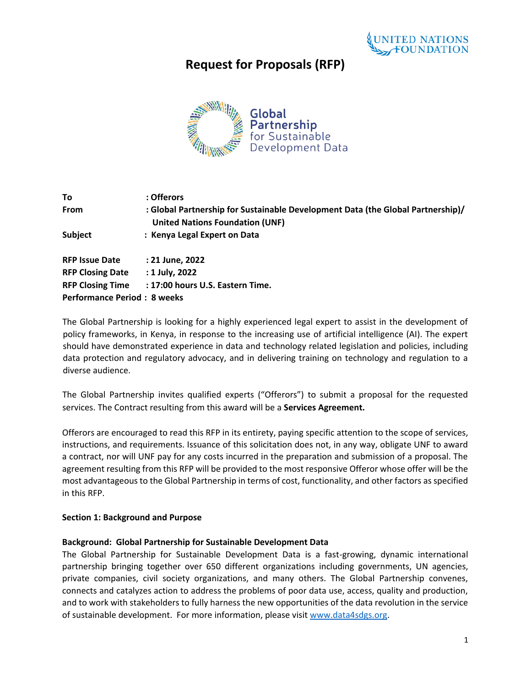

# **Request for Proposals (RFP)**



| To                                 | : Offerors                                                                                                                |
|------------------------------------|---------------------------------------------------------------------------------------------------------------------------|
| <b>From</b>                        | : Global Partnership for Sustainable Development Data (the Global Partnership)/<br><b>United Nations Foundation (UNF)</b> |
| <b>Subject</b>                     | : Kenya Legal Expert on Data                                                                                              |
| <b>RFP Issue Date</b>              | : 21 June, 2022                                                                                                           |
| <b>RFP Closing Date</b>            | : 1 July, 2022                                                                                                            |
| <b>RFP Closing Time</b>            | : 17:00 hours U.S. Eastern Time.                                                                                          |
| <b>Performance Period: 8 weeks</b> |                                                                                                                           |

The Global Partnership is looking for a highly experienced legal expert to assist in the development of policy frameworks, in Kenya, in response to the increasing use of artificial intelligence (AI). The expert should have demonstrated experience in data and technology related legislation and policies, including data protection and regulatory advocacy, and in delivering training on technology and regulation to a diverse audience.

The Global Partnership invites qualified experts ("Offerors") to submit a proposal for the requested services. The Contract resulting from this award will be a **Services Agreement.**

Offerors are encouraged to read this RFP in its entirety, paying specific attention to the scope of services, instructions, and requirements. Issuance of this solicitation does not, in any way, obligate UNF to award a contract, nor will UNF pay for any costs incurred in the preparation and submission of a proposal. The agreement resulting from this RFP will be provided to the most responsive Offeror whose offer will be the most advantageous to the Global Partnership in terms of cost, functionality, and other factors as specified in this RFP.

#### **Section 1: Background and Purpose**

#### **Background: Global Partnership for Sustainable Development Data**

The Global Partnership for Sustainable Development Data is a fast-growing, dynamic international partnership bringing together over 650 different organizations including governments, UN agencies, private companies, civil society organizations, and many others. The Global Partnership convenes, connects and catalyzes action to address the problems of poor data use, access, quality and production, and to work with stakeholders to fully harness the new opportunities of the data revolution in the service of sustainable development. For more information, please visit [www.data4sdgs.org.](http://www.data4sdgs.org/)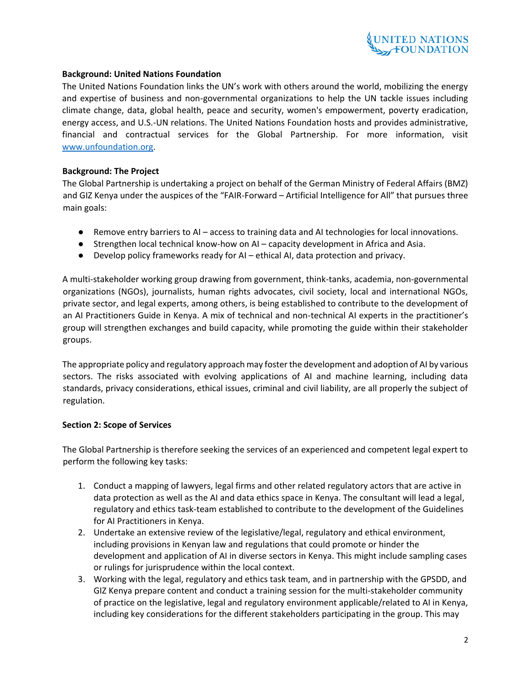

### **Background: United Nations Foundation**

The United Nations Foundation links the UN's work with others around the world, mobilizing the energy and expertise of business and non-governmental organizations to help the UN tackle issues including climate change, data, global health, peace and security, women's empowerment, poverty eradication, energy access, and U.S.-UN relations. The United Nations Foundation hosts and provides administrative, financial and contractual services for the Global Partnership. For more information, visit [www.unfoundation.org.](about:blank)

### **Background: The Project**

The Global Partnership is undertaking a project on behalf of the German Ministry of Federal Affairs (BMZ) and GIZ Kenya under the auspices of the "FAIR-Forward – Artificial Intelligence for All" that pursues three main goals:

- Remove entry barriers to AI access to training data and AI technologies for local innovations.
- Strengthen local technical know-how on AI capacity development in Africa and Asia.
- Develop policy frameworks ready for AI ethical AI, data protection and privacy.

A multi-stakeholder working group drawing from government, think-tanks, academia, non-governmental organizations (NGOs), journalists, human rights advocates, civil society, local and international NGOs, private sector, and legal experts, among others, is being established to contribute to the development of an AI Practitioners Guide in Kenya. A mix of technical and non-technical AI experts in the practitioner's group will strengthen exchanges and build capacity, while promoting the guide within their stakeholder groups.

The appropriate policy and regulatory approach may foster the development and adoption of AI by various sectors. The risks associated with evolving applications of AI and machine learning, including data standards, privacy considerations, ethical issues, criminal and civil liability, are all properly the subject of regulation.

# **Section 2: Scope of Services**

The Global Partnership is therefore seeking the services of an experienced and competent legal expert to perform the following key tasks:

- 1. Conduct a mapping of lawyers, legal firms and other related regulatory actors that are active in data protection as well as the AI and data ethics space in Kenya. The consultant will lead a legal, regulatory and ethics task-team established to contribute to the development of the Guidelines for AI Practitioners in Kenya.
- 2. Undertake an extensive review of the legislative/legal, regulatory and ethical environment, including provisions in Kenyan law and regulations that could promote or hinder the development and application of AI in diverse sectors in Kenya. This might include sampling cases or rulings for jurisprudence within the local context.
- 3. Working with the legal, regulatory and ethics task team, and in partnership with the GPSDD, and GIZ Kenya prepare content and conduct a training session for the multi-stakeholder community of practice on the legislative, legal and regulatory environment applicable/related to AI in Kenya, including key considerations for the different stakeholders participating in the group. This may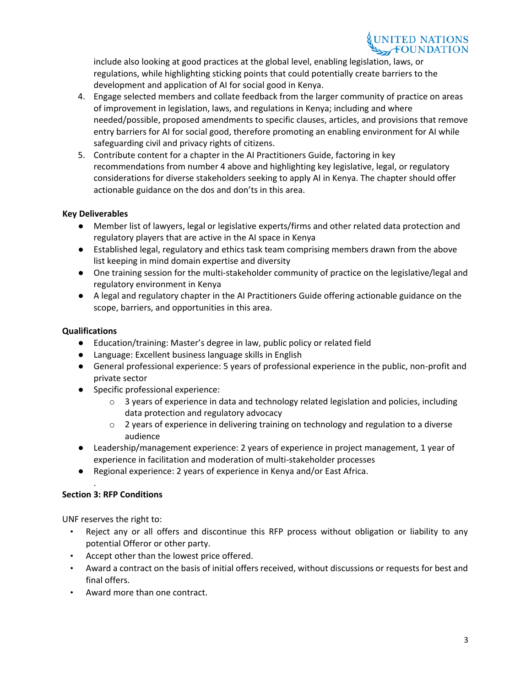include also looking at good practices at the global level, enabling legislation, laws, or regulations, while highlighting sticking points that could potentially create barriers to the development and application of AI for social good in Kenya.

- 4. Engage selected members and collate feedback from the larger community of practice on areas of improvement in legislation, laws, and regulations in Kenya; including and where needed/possible, proposed amendments to specific clauses, articles, and provisions that remove entry barriers for AI for social good, therefore promoting an enabling environment for AI while safeguarding civil and privacy rights of citizens.
- 5. Contribute content for a chapter in the AI Practitioners Guide, factoring in key recommendations from number 4 above and highlighting key legislative, legal, or regulatory considerations for diverse stakeholders seeking to apply AI in Kenya. The chapter should offer actionable guidance on the dos and don'ts in this area.

# **Key Deliverables**

- Member list of lawyers, legal or legislative experts/firms and other related data protection and regulatory players that are active in the AI space in Kenya
- Established legal, regulatory and ethics task team comprising members drawn from the above list keeping in mind domain expertise and diversity
- One training session for the multi-stakeholder community of practice on the legislative/legal and regulatory environment in Kenya
- A legal and regulatory chapter in the AI Practitioners Guide offering actionable guidance on the scope, barriers, and opportunities in this area.

# **Qualifications**

- Education/training: Master's degree in law, public policy or related field
- Language: Excellent business language skills in English
- General professional experience: 5 years of professional experience in the public, non-profit and private sector
- Specific professional experience:
	- $\circ$  3 years of experience in data and technology related legislation and policies, including data protection and regulatory advocacy
	- $\circ$  2 years of experience in delivering training on technology and regulation to a diverse audience
- Leadership/management experience: 2 years of experience in project management, 1 year of experience in facilitation and moderation of multi-stakeholder processes
- Regional experience: 2 years of experience in Kenya and/or East Africa.

# **Section 3: RFP Conditions**

.

UNF reserves the right to:

- Reject any or all offers and discontinue this RFP process without obligation or liability to any potential Offeror or other party.
- Accept other than the lowest price offered.
- Award a contract on the basis of initial offers received, without discussions or requests for best and final offers.
- Award more than one contract.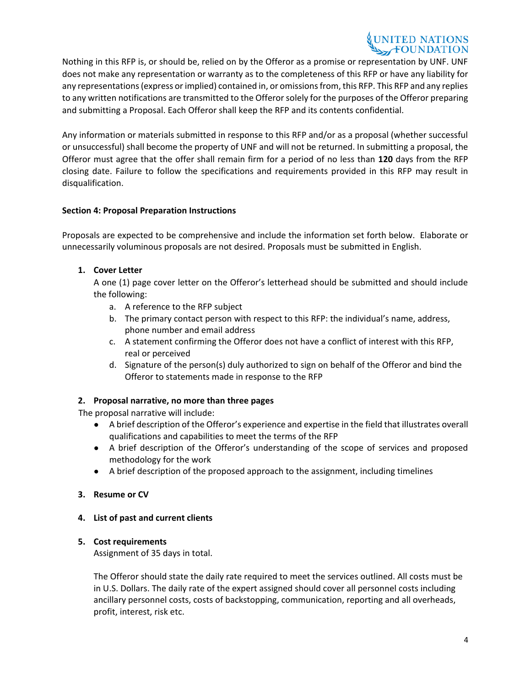# UNITED NATIONS

Nothing in this RFP is, or should be, relied on by the Offeror as a promise or representation by UNF. UNF does not make any representation or warranty as to the completeness of this RFP or have any liability for any representations (express or implied) contained in, or omissions from, this RFP. This RFP and any replies to any written notifications are transmitted to the Offeror solely for the purposes of the Offeror preparing and submitting a Proposal. Each Offeror shall keep the RFP and its contents confidential.

Any information or materials submitted in response to this RFP and/or as a proposal (whether successful or unsuccessful) shall become the property of UNF and will not be returned. In submitting a proposal, the Offeror must agree that the offer shall remain firm for a period of no less than **120** days from the RFP closing date. Failure to follow the specifications and requirements provided in this RFP may result in disqualification.

# **Section 4: Proposal Preparation Instructions**

Proposals are expected to be comprehensive and include the information set forth below. Elaborate or unnecessarily voluminous proposals are not desired. Proposals must be submitted in English.

# **1. Cover Letter**

A one (1) page cover letter on the Offeror's letterhead should be submitted and should include the following:

- a. A reference to the RFP subject
- b. The primary contact person with respect to this RFP: the individual's name, address, phone number and email address
- c. A statement confirming the Offeror does not have a conflict of interest with this RFP, real or perceived
- d. Signature of the person(s) duly authorized to sign on behalf of the Offeror and bind the Offeror to statements made in response to the RFP

# **2. Proposal narrative, no more than three pages**

The proposal narrative will include:

- A brief description of the Offeror's experience and expertise in the field that illustrates overall qualifications and capabilities to meet the terms of the RFP
- A brief description of the Offeror's understanding of the scope of services and proposed methodology for the work
- A brief description of the proposed approach to the assignment, including timelines

# **3. Resume or CV**

# **4. List of past and current clients**

# **5. Cost requirements**

Assignment of 35 days in total.

The Offeror should state the daily rate required to meet the services outlined. All costs must be in U.S. Dollars. The daily rate of the expert assigned should cover all personnel costs including ancillary personnel costs, costs of backstopping, communication, reporting and all overheads, profit, interest, risk etc.